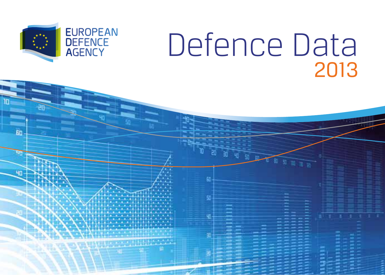

 $\mathbf{F}$ 

**un** 

# Defence Data 2013

EEE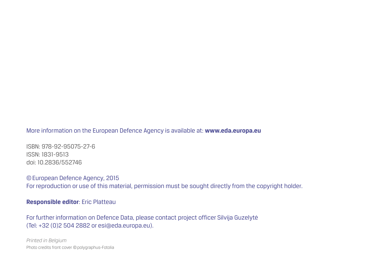More information on the European Defence Agency is available at: **www.eda.europa.eu**

ISBN: 978-92-95075-27-6 ISSN: 1831-9513 doi: 10.2836/552746

©European Defence Agency, 2015 For reproduction or use of this material, permission must be sought directly from the copyright holder.

**Responsible editor**: Eric Platteau

For further information on Defence Data, please contact project officer Silvija Guzelytė (Tel: +32 (0)2 504 2882 or esi@eda.europa.eu).

*Printed in Belgium* Photo credits front cover ©polygraphus-Fotolia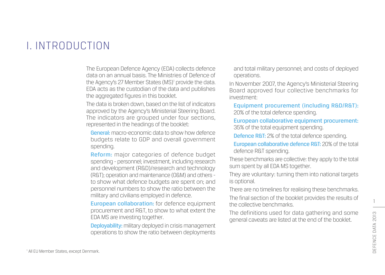## I. INTRODUCTION

The European Defence Agency (EDA) collects defence data on an annual basis. The Ministries of Defence of the Agency's 27 Member States (MS)<sup>1</sup> provide the data. EDA acts as the custodian of the data and publishes the aggregated figures in this booklet.

The data is broken down, based on the list of indicators approved by the Agency's Ministerial Steering Board. The indicators are grouped under four sections. represented in the headings of the booklet:

General: macro-economic data to show how defence budgets relate to GDP and overall government spending.

Reform: major categories of defence budget spending - personnel; investment, including research and development (R&D)/research and technology (R&T); operation and maintenance (O&M) and others to show what defence budgets are spent on; and personnel numbers to show the ratio between the military and civilians employed in defence.

European collaboration: for defence equipment procurement and R&T, to show to what extent the EDA MS are investing together.

Deployability: military deployed in crisis management operations to show the ratio between deployments

and total military personnel; and costs of deployed operations.

In November 2007, the Agency's Ministerial Steering Board approved four collective benchmarks for investment:

Equipment procurement (including R&D/R&T): 20% of the total defence spending.

European collaborative equipment procurement: 35% of the total equipment spending.

Defence R&T: 2% of the total defence spending.

European collaborative defence R&T: 20% of the total defence R&T spending.

These benchmarks are collective: they apply to the total sum spent by all EDA MS together.

They are voluntary: turning them into national targets is optional.

There are no timelines for realising these benchmarks. The final section of the booklet provides the results of the collective benchmarks.

The definitions used for data gathering and some general caveats are listed at the end of the booklet.

1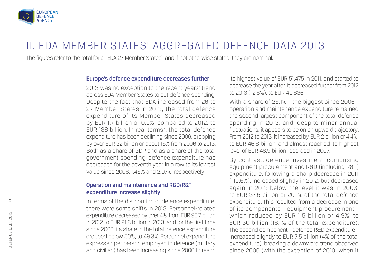

# II. EDA MEMBER STATES' AGGREGATED DEFENCE DATA 2013

The figures refer to the total for all EDA 27 Member States<sup>1</sup>, and if not otherwise stated, they are nominal.

#### Europe's defence expenditure decreases further

2013 was no exception to the recent years' trend across EDA Member States to cut defence spending. Despite the fact that EDA increased from 26 to 27 Member States in 2013, the total defence expenditure of its Member States decreased by EUR 1.7 billion or 0.9%, compared to 2012, to EUR 186 billion. In real terms², the total defence expenditure has been declining since 2006, dropping by over EUR 32 billion or about 15% from 2006 to 2013. Both as a share of GDP and as a share of the total government spending, defence expenditure has decreased for the seventh year in a row to its lowest value since 2006, 1.45% and 2.97%, respectively.

#### Operation and maintenance and R&D/R&T expenditure increase slightly

In terms of the distribution of defence expenditure, there were some shifts in 2013. Personnel-related expenditure decreased by over 4%, from EUR 95.7 billion in 2012 to EUR 91.8 billion in 2013, and for the first time since 2006, its share in the total defence expenditure dropped below 50%, to 49.3%. Personnel expenditure expressed per person employed in defence (military and civilian) has been increasing since 2006 to reach

its highest value of EUR 51,475 in 2011, and started to decrease the year after. It decreased further from 2012 to 2013 (-2.6%), to EUR 49,836.

With a share of 25.1% - the biggest since 2006 operation and maintenance expenditure remained the second largest component of the total defence spending in 2013, and, despite minor annual fluctuations, it appears to be on an upward trajectory. From 2012 to 2013, it increased by EUR 2 billion or 4.4%, to EUR 46.8 billion, and almost reached its highest level of EUR 46.9 billion recorded in 2007.

By contrast, defence investment, comprising equipment procurement and R&D (including R&T) expenditure, following a sharp decrease in 2011 (-10.5%), increased slightly in 2012, but decreased again in 2013 below the level it was in 2006, to EUR 37.5 billion or 20.1% of the total defence expenditure. This resulted from a decrease in one of its components - equipment procurement which reduced by EUR 1.5 billion or 4.9%, to EUR 30 billion (16.1% of the total expenditure). The second component - defence R&D expenditure increased slightly to EUR 7.5 billion (4% of the total expenditure), breaking a downward trend observed since 2006 (with the exception of 2010, when it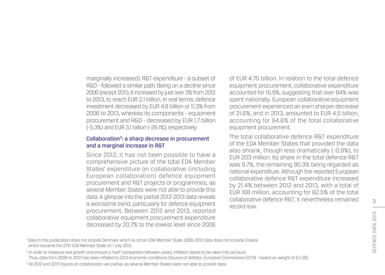marginally increased). R&T expenditure - a subset of R&D - followed a similar path. Being on a decline since 2006 (except 2011), it increased by just over 3% from 2012 to 2013, to reach EUR 2.1 billion. In real terms, defence investment decreased by EUR 4.8 billion or 11.3% from 2006 to 2013, whereas its components - equipment procurement and R&D - decreased by EUR 1.7 billion (-5.3%) and EUR 3.1 billion (-29.1%), respectively.

#### Collaboration<sup>3</sup>: a sharp decrease in procurement and a marginal increase in R&T

Since 2012, it has not been possible to have a comprehensive picture of the total EDA Member States' expenditure on collaborative (including European collaboration) defence equipment procurement and R&T projects or programmes, as several Member States were not able to provide this data. A glimpse into the partial 2012-2013 data reveals a worrisome trend, particularly for defence equipment procurement. Between 2012 and 2013, reported collaborative equipment procurement expenditure decreased by 20.7% to the lowest level since 2006

of EUR 4.75 billion. In relation to the total defence equipment procurement, collaborative expenditure accounted for 15.9%, suggesting that over 84% was spent nationally. European collaborative equipment procurement experienced an even sharper decrease of 21.6%, and in 2013, amounted to EUR 4.5 billion, accounting for 94.6% of the total collaborative equipment procurement.

The total collaborative defence R&T expenditure of the EDA Member States that provided the data also shrank, though less dramatically (-0.9%), to EUR 203 million. Its share in the total defence R&T was 9.7%, the remaining 90.3% being regarded as national expenditure. Although the reported European collaborative defence R&T expenditure increased by 21.4% between 2012 and 2013, with a total of EUR 168 million, accounting for 82.5% of the total collaborative defence R&T, it nevertheless remained record-low.

<sup>1</sup> Data in this publication does not include Denmark which is not an EDA Member State. 2006-2012 data does not include Croatia which became the 27th EDA Member State on 1 July 2013.

<sup>2</sup> In order to measure real growth and ensure a "real" comparison between years, inflation needs to be taken into account.

Thus, data from 2006 to 2012 has been inflated to 2013 economic conditions (Source of deflator: European Commission ECFIN - based on weight of EU-28).

<sup>3</sup> All 2012 and 2013 figures on collaboration are partial, as several Member States were not able to provide data.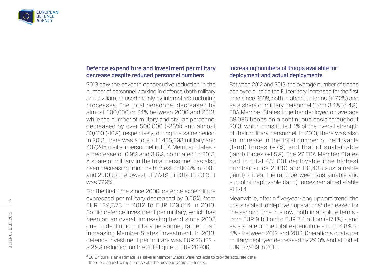

#### Defence expenditure and investment per military decrease despite reduced personnel numbers

2013 saw the seventh consecutive reduction in the number of personnel working in defence (both military and civilian), caused mainly by internal restructuring processes. The total personnel decreased by almost 600,000 or 24% between 2006 and 2013, while the number of military and civilian personnel decreased by over 500,000 (-26%) and almost 80,000 (-16%), respectively, during the same period. In 2013, there was a total of 1,435,693 military and 407,245 civilian personnel in EDA Member States a decrease of 0.9% and 3.6%, compared to 2012. A share of military in the total personnel has also been decreasing from the highest of 80.6% in 2008 and 2010 to the lowest of 77.4% in 2012. In 2013, it was 77.9%.

For the first time since 2006, defence expenditure expressed per military decreased by 0.05%, from EUR 129,878 in 2012 to EUR 129,814 in 2013. So did defence investment per military, which has been on an overall increasing trend since 2006 due to declining military personnel, rather than increasing Member States' investment. In 2013, defence investment per military was EUR 26,122 a 2.9% reduction on the 2012 figure of EUR 26,906.

#### Increasing numbers of troops available for deployment and actual deployments

Between 2012 and 2013, the average number of troops deployed outside the EU territory increased for the first time since 2008, both in absolute terms (+17.2%) and as a share of military personnel (from 3.4% to 4%). EDA Member States together deployed on average 58,086 troops on a continuous basis throughout 2013, which constituted 4% of the overall strength of their military personnel. In 2013, there was also an increase in the total number of deployable (land) forces (+7%) and that of sustainable (land) forces (+1.5%). The 27 EDA Member States had in total 481,001 deployable (the highest number since 2006) and 110,433 sustainable (land) forces. The ratio between sustainable and a pool of deployable (land) forces remained stable at  $1:4.4$ 

Meanwhile, after a five-year-long upward trend, the costs related to deployed operations<sup>4</sup> decreased for the second time in a row, both in absolute terms from EUR 9 billion to EUR 7.4 billion (-17.1%) - and as a share of the total expenditure - from 4.8% to 4% - between 2012 and 2013. Operations costs per military deployed decreased by 29.3% and stood at EUR 127,989 in 2013.

<sup>4</sup> 2013 figure is an estimate, as several Member States were not able to provide accurate data, therefore sound comparisons with the previous years are limited.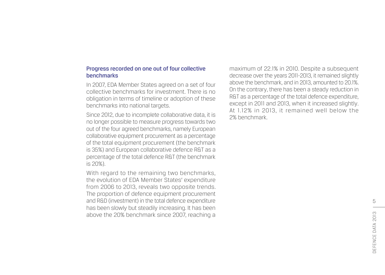#### Progress recorded on one out of four collective benchmarks

In 2007, EDA Member States agreed on a set of four collective benchmarks for investment. There is no obligation in terms of timeline or adoption of these benchmarks into national targets.

Since 2012, due to incomplete collaborative data, it is no longer possible to measure progress towards two out of the four agreed benchmarks, namely European collaborative equipment procurement as a percentage of the total equipment procurement (the benchmark is 35%) and European collaborative defence R&T as a percentage of the total defence R&T (the benchmark is 20%).

With regard to the remaining two benchmarks, the evolution of EDA Member States' expenditure from 2006 to 2013, reveals two opposite trends. The proportion of defence equipment procurement and R&D (investment) in the total defence expenditure has been slowly but steadily increasing. It has been above the 20% benchmark since 2007, reaching a

maximum of 22.1% in 2010. Despite a subsequent decrease over the years 2011-2013, it remained slightly above the benchmark, and in 2013, amounted to 20.1%. On the contrary, there has been a steady reduction in R&T as a percentage of the total defence expenditure, except in 2011 and 2013, when it increased slightly. At 1.12% in 2013, it remained well below the 2% benchmark.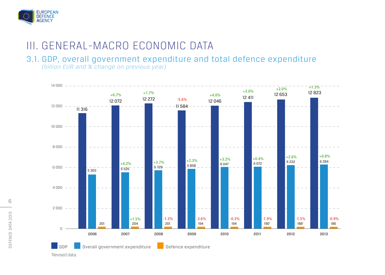

# III. GENERAL-MACRO ECONOMIC DATA

## 3.1. GDP, overall government expenditure and total defence expenditure

*(billion EUR and % change on previous year)*



6

'Revised data.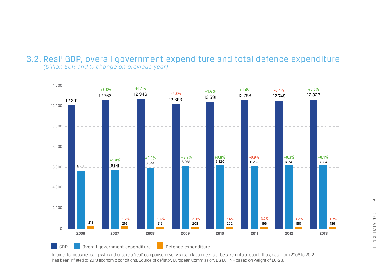#### 3.2. Real<sup>1</sup> GDP, overall government expenditure and total defence expenditure *(billion EUR and % change on previous year)*



In order to measure real gowth and ensure a "real" comparison over years, inflation needs to be taken into account. Thus, data from 2006 to 2012 has been inflated to 2013 economic conditions. Source of deflator: European Commission, DG ECFIN - based on weight of EU-28.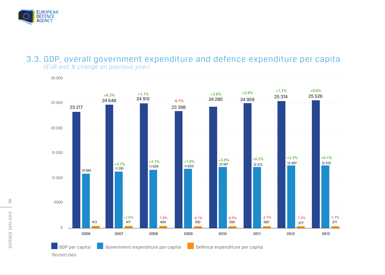

#### 3.3. GDP, overall government expenditure and defence expenditure per capita *(EUR and % change on previous year)*



8 DEFENCE DATA 2013 DEFENCE DATA 2013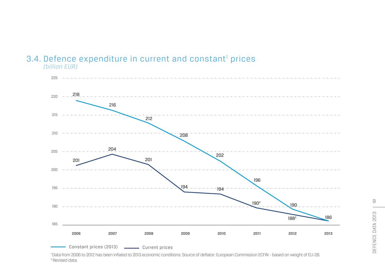#### 3.4. Defence expenditure in current and constant<sup>1</sup> prices *(billion EUR)*



 Data from 2006 to 2012 has been inflated to 2013 economic conditions. Source of deflator: European Commission ECFIN - based on weight of EU-28. 2Revised data.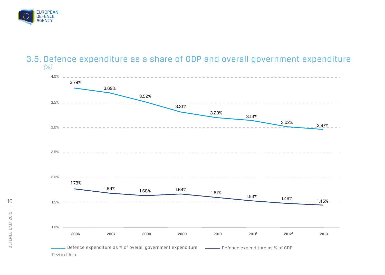

#### 3.5. Defence expenditure as a share of GDP and overall government expenditure *(%)*

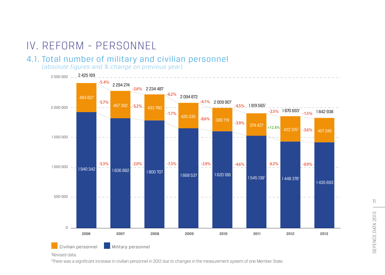# IV. REFORM - PERSONNEL

#### 4.1. Total number of military and civilian personnel

*(absolute figures and % change on previous year)*



2 There was a significant increase in civilian personnel in 2012 due to changes in the measurement system of one Member State.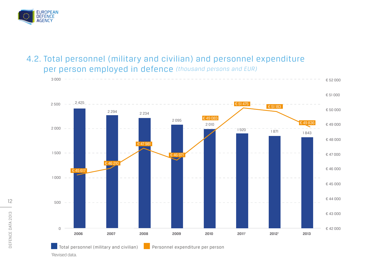

 $3000 - -$ 

## 4.2. Total personnel (military and civilian) and personnel expenditure per person employed in defence *(thousand persons and EUR)*



€ 52 000

Total personnel (military and civilian) Personnel expenditure per person

'Revised data.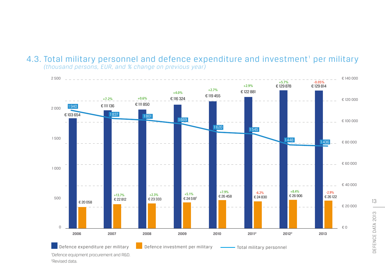#### 4.3. Total military personnel and defence expenditure and investment<sup>1</sup> per military *(thousand persons, EUR, and % change on previous year)*

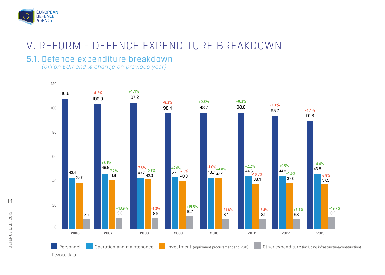

# V. REFORM - DEFENCE EXPENDITURE BREAKDOWN

## 5.1. Defence expenditure breakdown

*(billion EUR and % change on previous year)*

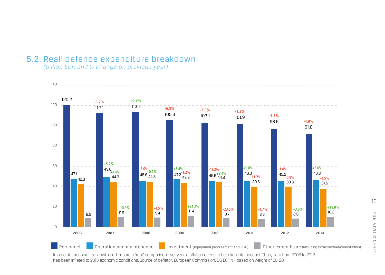## 5.2. Real<sup>1</sup> defence expenditure breakdown

*(billion EUR and % change on previous year)*



In order to measure real gowth and ensure a "real" comparison over years, inflation needs to be taken into account. Thus, data from 2006 to 2012 has been inflated to 2013 economic conditions. Source of deflator: European Commission, DG ECFIN - based on weight of EU-28.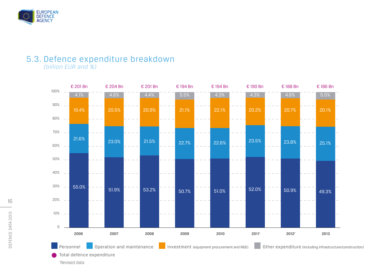

## 5.3. Defence expenditure breakdown

*(billion EUR and %)*



'Revised data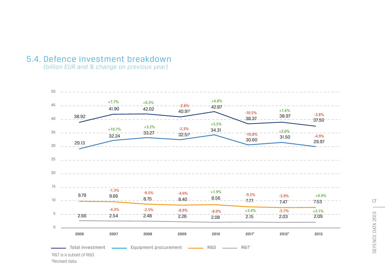#### 5.4. Defence investment breakdown

*(billion EUR and % change on previous year)*



²Revised data.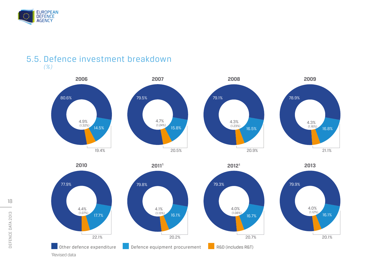

#### 5.5. Defence investment breakdown *(%)*







4.0% (1.08%)

79.3%

20.7%

16.7%

'Revised data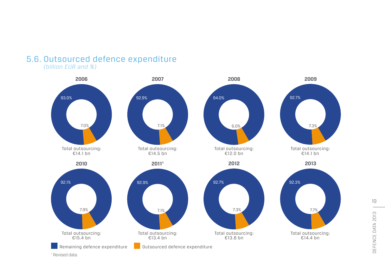# 5.6. Outsourced defence expenditure

*(billion EUR and %)*



<sup>1</sup> Revised data.

19 DEFENCE DATA 2013 DEFENCE DATA 2013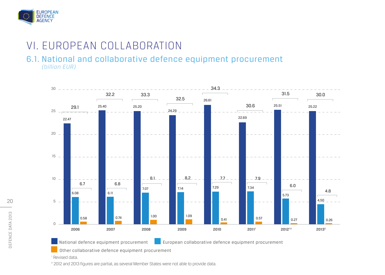

# VI. EUROPEAN COLLABORATION

#### 6.1. National and collaborative defence equipment procurement *(billion EUR)*



National defence equipment procurement

**European collaborative defence equipment procurement** 

Other collaborative defence equipment procurement

<sup>1</sup> Revised data.

<sup>2</sup> 2012 and 2013 figures are partial, as several Member States were not able to provide data.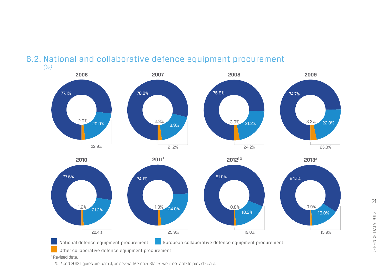

#### 6.2. National and collaborative defence equipment procurement *(%)*

<sup>1</sup> Revised data.

² 2012 and 2013 figures are partial, as several Member States were not able to provide data.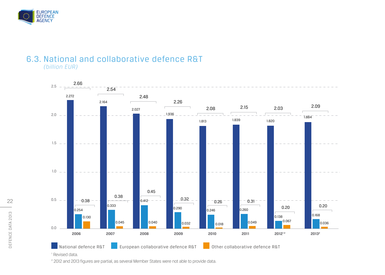

#### 6.3. National and collaborative defence R&T *(billion EUR)*



<sup>2</sup> 2012 and 2013 figures are partial, as several Member States were not able to provide data.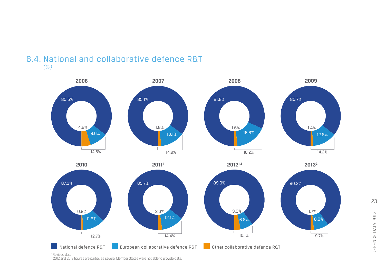



<sup>1</sup> Revised data.

² 2012 and 2013 figures are partial, as several Member States were not able to provide data.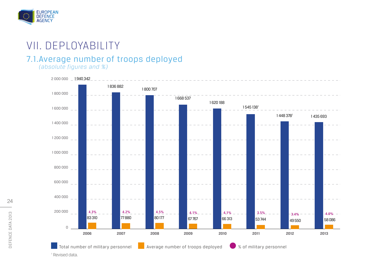

# VII. DEPLOYABILITY

## 7.1.Average number of troops deployed

*(absolute figures and %)*



24 DEFENCE DATA 2013 DEFENCE DATA 2013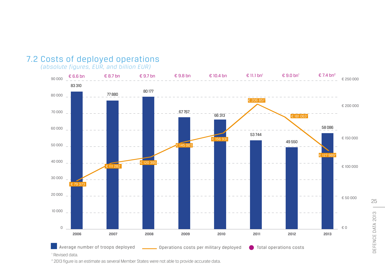## 7.2 Costs of deployed operations

*(absolute figures, EUR, and billion EUR)*



² 2013 figure is an estimate as several Member States were not able to provide accurate data.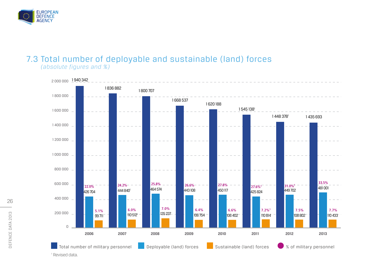

#### 7.3 Total number of deployable and sustainable (land) forces *(absolute figures and %)*



<sup>1</sup> Revised data.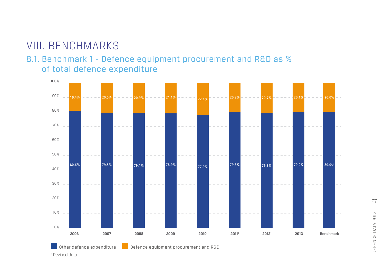# VIII. BENCHMARKS

## 8.1. Benchmark 1 - Defence equipment procurement and R&D as % of total defence expenditure



DEFENCE DATA 2013 DEFENCE DATA 2013

27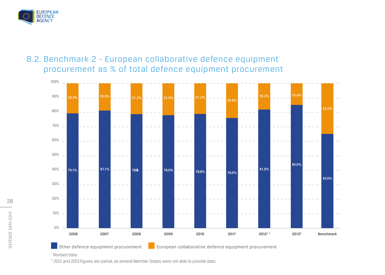

## 8.2. Benchmark 2 - European collaborative defence equipment procurement as % of total defence equipment procurement



<sup>1</sup> Revised data.

² 2012 and 2013 figures are partial, as several Member States were not able to provide data.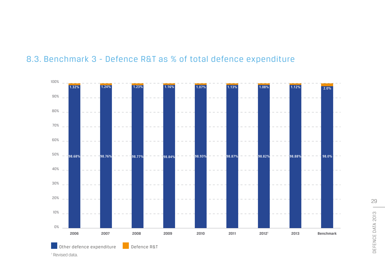

## 8.3. Benchmark 3 - Defence R&T as % of total defence expenditure

<sup>1</sup> Revised data.

29 DEFENCE DATA 2013 DEFENCE DATA 2013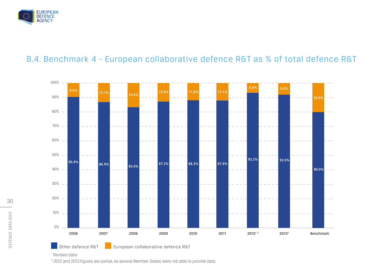

## 8.4. Benchmark 4 - European collaborative defence R&T as % of total defence R&T



<sup>1</sup> Revised data.

² 2012 and 2013 figures are partial, as several Member States were not able to provide data.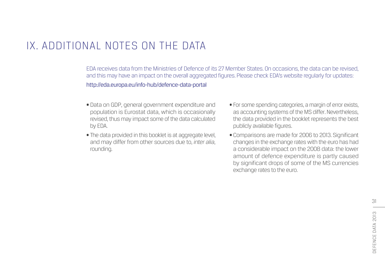# IX. ADDITIONAL NOTES ON THE DATA

EDA receives data from the Ministries of Defence of its 27 Member States. On occasions, the data can be revised, and this may have an impact on the overall aggregated figures. Please check EDA's website regularly for updates: http://eda.europa.eu/info-hub/defence-data-portal

- Data on GDP, general government expenditure and population is Eurostat data, which is occasionally revised, thus may impact some of the data calculated by EDA.
- The data provided in this booklet is at aggregate level, and may differ from other sources due to, *inter alia*, rounding.
- For some spending categories, a margin of error exists, as accounting systems of the MS differ. Nevertheless, the data provided in the booklet represents the best publicly available figures.
- Comparisons are made for 2006 to 2013. Significant changes in the exchange rates with the euro has had a considerable impact on the 2008 data: the lower amount of defence expenditure is partly caused by significant drops of some of the MS currencies exchange rates to the euro.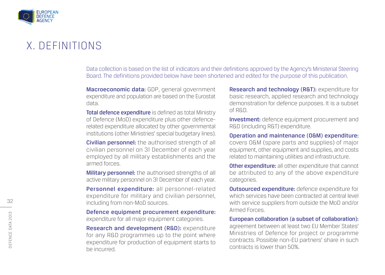

## X. DEFINITIONS

Data collection is based on the list of indicators and their definitions approved by the Agency's Ministerial Steering Board. The definitions provided below have been shortened and edited for the purpose of this publication.

Macroeconomic data: GDP, general government expenditure and population are based on the Eurostat data.

Total defence expenditure is defined as total Ministry of Defence (MoD) expenditure plus other defencerelated expenditure allocated by other governmental institutions (other Ministries' special budgetary lines).

Civilian personnel: the authorised strength of all civilian personnel on 31 December of each year employed by all military establishments and the armed forces.

**Military personnel:** the authorised strengths of all active military personnel on 31 December of each year.

Personnel expenditure: all personnel-related expenditure for military and civilian personnel, including from non-MoD sources.

Defence equipment procurement expenditure: expenditure for all major equipment categories.

Research and development (R&D): expenditure for any R&D programmes up to the point where expenditure for production of equipment starts to be incurred.

Research and technology (R&T): expenditure for basic research, applied research and technology demonstration for defence purposes. It is a subset of R&D.

Investment: defence equipment procurement and R&D (including R&T) expenditure.

Operation and maintenance (O&M) expenditure: covers O&M (spare parts and supplies) of major equipment, other equipment and supplies, and costs related to maintaining utilities and infrastructure.

**Other expenditure:** all other expenditure that cannot be attributed to any of the above expenditure categories.

**Outsourced expenditure:** defence expenditure for which services have been contracted at central level with service suppliers from outside the MoD and/or Armed Forces.

European collaboration (a subset of collaboration): agreement between at least two EU Member States' Ministries of Defence for project or programme contracts. Possible non-EU partners' share in such contracts is lower than 50%.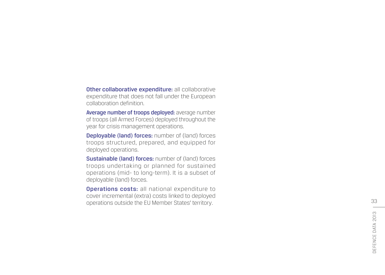Other collaborative expenditure: all collaborative expenditure that does not fall under the European collaboration definition.

Average number of troops deployed: average number of troops (all Armed Forces) deployed throughout the year for crisis management operations.

Deployable (land) forces: number of (land) forces troops structured, prepared, and equipped for deployed operations.

Sustainable (land) forces: number of (land) forces troops undertaking or planned for sustained operations (mid- to long-term). It is a subset of deployable (land) forces.

Operations costs: all national expenditure to cover incremental (extra) costs linked to deployed operations outside the EU Member States' territory.